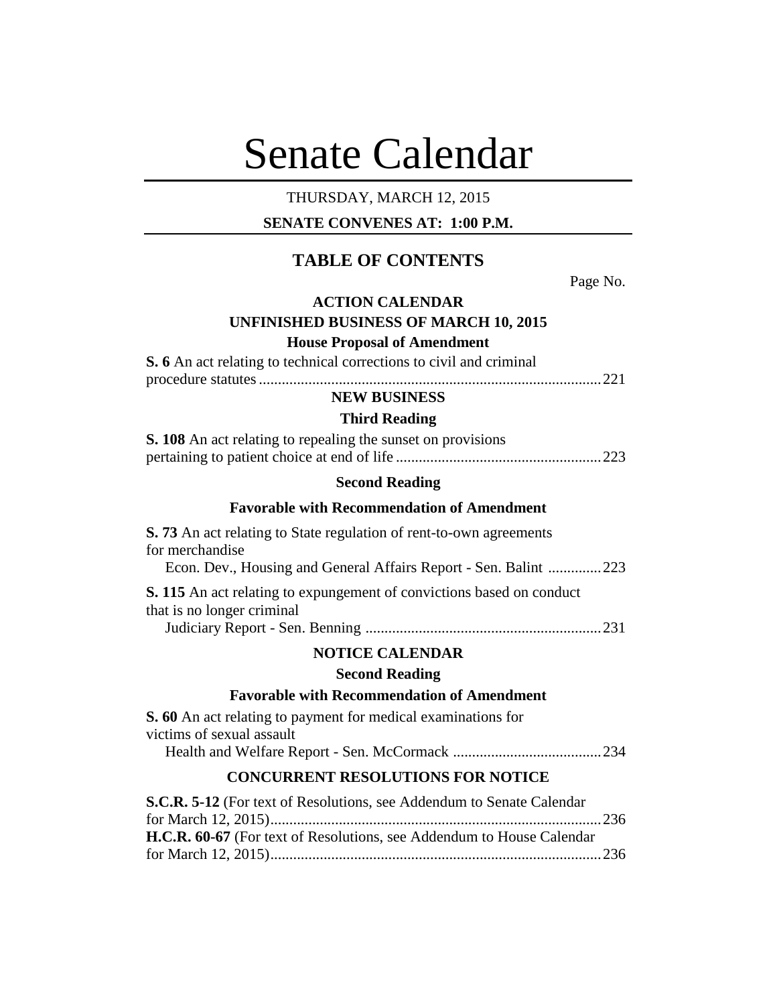# Senate Calendar

# THURSDAY, MARCH 12, 2015

# **SENATE CONVENES AT: 1:00 P.M.**

# **TABLE OF CONTENTS**

Page No.

# **ACTION CALENDAR UNFINISHED BUSINESS OF MARCH 10, 2015**

**House Proposal of Amendment**

**S. 6** An act relating to technical corrections to civil and criminal

procedure statutes..........................................................................................221

# **NEW BUSINESS**

# **Third Reading**

| <b>S. 108</b> An act relating to repealing the sunset on provisions |  |
|---------------------------------------------------------------------|--|
|                                                                     |  |

# **Second Reading**

# **Favorable with Recommendation of Amendment**

| <b>S. 73</b> An act relating to State regulation of rent-to-own agreements                                 |  |  |
|------------------------------------------------------------------------------------------------------------|--|--|
| for merchandise                                                                                            |  |  |
| Econ. Dev., Housing and General Affairs Report - Sen. Balint 223                                           |  |  |
| <b>S. 115</b> An act relating to expungement of convictions based on conduct<br>that is no longer criminal |  |  |
|                                                                                                            |  |  |
| <b>NOTICE CALENDAR</b>                                                                                     |  |  |
| <b>Second Reading</b>                                                                                      |  |  |
| <b>Favorable with Recommendation of Amendment</b>                                                          |  |  |
| <b>S. 60</b> An act relating to payment for medical examinations for<br>victims of sexual assault          |  |  |

Health and Welfare Report - Sen. McCormack .......................................234

# **CONCURRENT RESOLUTIONS FOR NOTICE**

| <b>S.C.R. 5-12</b> (For text of Resolutions, see Addendum to Senate Calendar |  |
|------------------------------------------------------------------------------|--|
|                                                                              |  |
| <b>H.C.R. 60-67</b> (For text of Resolutions, see Addendum to House Calendar |  |
|                                                                              |  |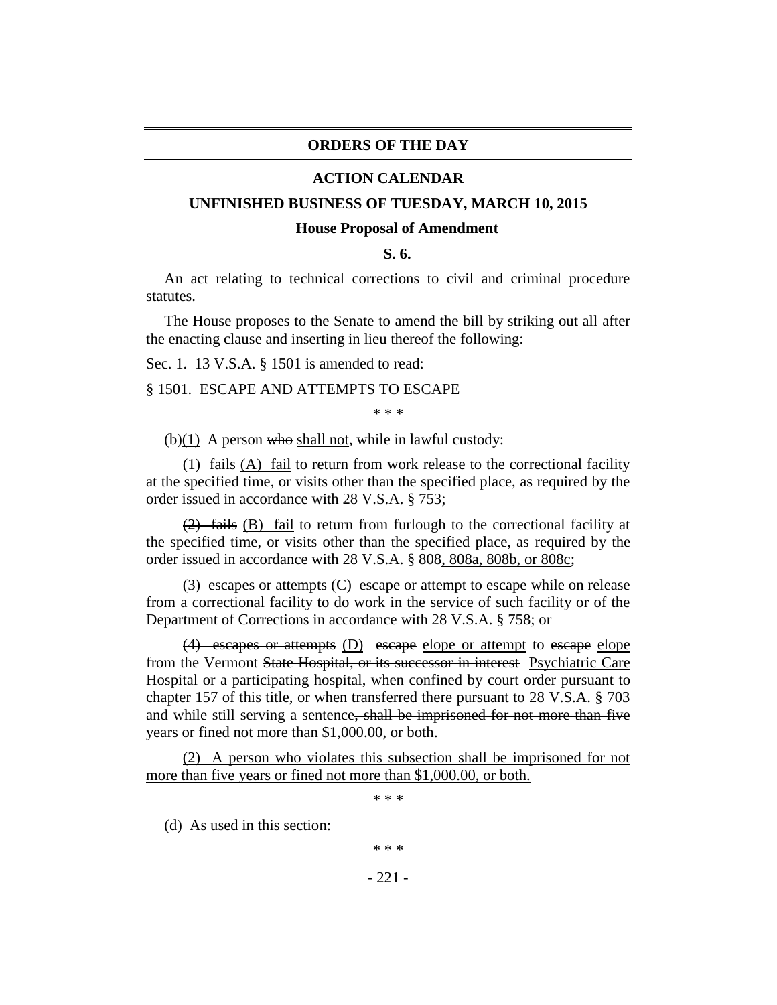# **ORDERS OF THE DAY**

## **ACTION CALENDAR**

#### **UNFINISHED BUSINESS OF TUESDAY, MARCH 10, 2015**

#### **House Proposal of Amendment**

**S. 6.**

An act relating to technical corrections to civil and criminal procedure statutes.

The House proposes to the Senate to amend the bill by striking out all after the enacting clause and inserting in lieu thereof the following:

Sec. 1. 13 V.S.A. § 1501 is amended to read:

#### § 1501. ESCAPE AND ATTEMPTS TO ESCAPE

\* \* \*

(b) $(1)$  A person who shall not, while in lawful custody:

 $(1)$  fails (A) fail to return from work release to the correctional facility at the specified time, or visits other than the specified place, as required by the order issued in accordance with 28 V.S.A. § 753;

(2) fails (B) fail to return from furlough to the correctional facility at the specified time, or visits other than the specified place, as required by the order issued in accordance with 28 V.S.A. § 808, 808a, 808b, or 808c;

(3) escapes or attempts (C) escape or attempt to escape while on release from a correctional facility to do work in the service of such facility or of the Department of Corrections in accordance with 28 V.S.A. § 758; or

(4) escapes or attempts (D) escape elope or attempt to escape elope from the Vermont State Hospital, or its successor in interest Psychiatric Care Hospital or a participating hospital, when confined by court order pursuant to chapter 157 of this title, or when transferred there pursuant to 28 V.S.A. § 703 and while still serving a sentence, shall be imprisoned for not more than five years or fined not more than \$1,000.00, or both.

(2) A person who violates this subsection shall be imprisoned for not more than five years or fined not more than \$1,000.00, or both.

\* \* \*

(d) As used in this section:

\* \* \*

- 221 -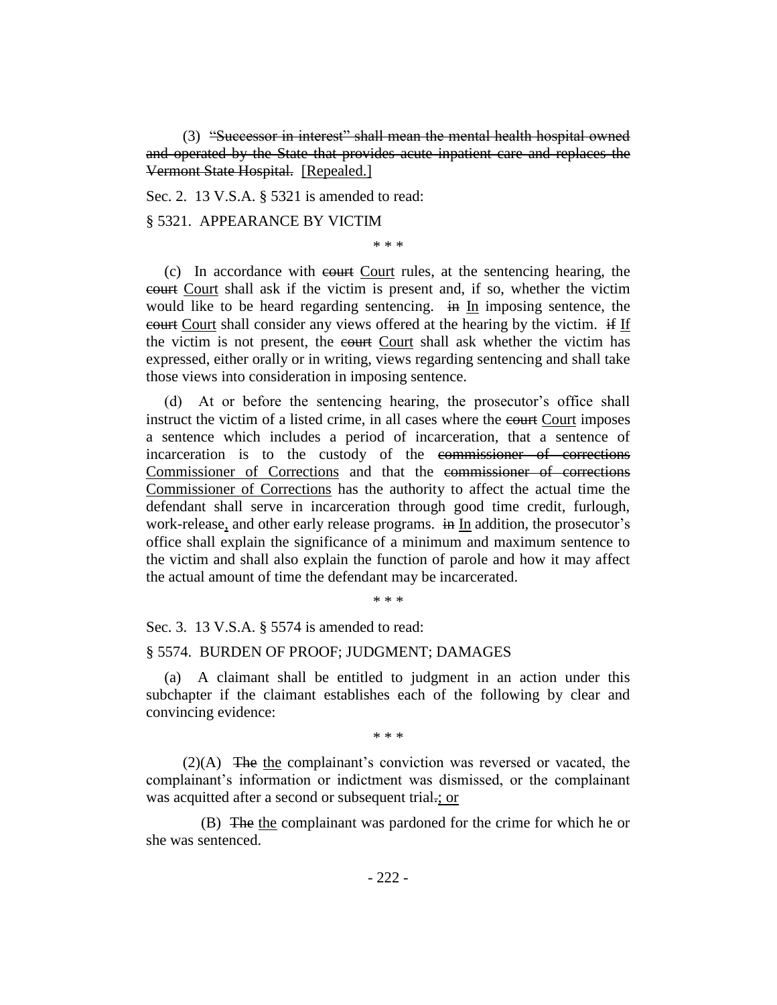(3) "Successor in interest" shall mean the mental health hospital owned and operated by the State that provides acute inpatient care and replaces the Vermont State Hospital. [Repealed.]

Sec. 2. 13 V.S.A. § 5321 is amended to read:

# § 5321. APPEARANCE BY VICTIM

\* \* \*

(c) In accordance with court Court rules, at the sentencing hearing, the court Court shall ask if the victim is present and, if so, whether the victim would like to be heard regarding sentencing. in In imposing sentence, the court Court shall consider any views offered at the hearing by the victim. if If the victim is not present, the court Court shall ask whether the victim has expressed, either orally or in writing, views regarding sentencing and shall take those views into consideration in imposing sentence.

(d) At or before the sentencing hearing, the prosecutor's office shall instruct the victim of a listed crime, in all cases where the court Court imposes a sentence which includes a period of incarceration, that a sentence of incarceration is to the custody of the commissioner of corrections Commissioner of Corrections and that the commissioner of corrections Commissioner of Corrections has the authority to affect the actual time the defendant shall serve in incarceration through good time credit, furlough, work-release, and other early release programs. in In addition, the prosecutor's office shall explain the significance of a minimum and maximum sentence to the victim and shall also explain the function of parole and how it may affect the actual amount of time the defendant may be incarcerated.

\* \* \*

Sec. 3. 13 V.S.A. § 5574 is amended to read:

## § 5574. BURDEN OF PROOF; JUDGMENT; DAMAGES

(a) A claimant shall be entitled to judgment in an action under this subchapter if the claimant establishes each of the following by clear and convincing evidence:

\* \* \*

(2)(A) The the complainant's conviction was reversed or vacated, the complainant's information or indictment was dismissed, or the complainant was acquitted after a second or subsequent trial.; or

(B) The the complainant was pardoned for the crime for which he or she was sentenced.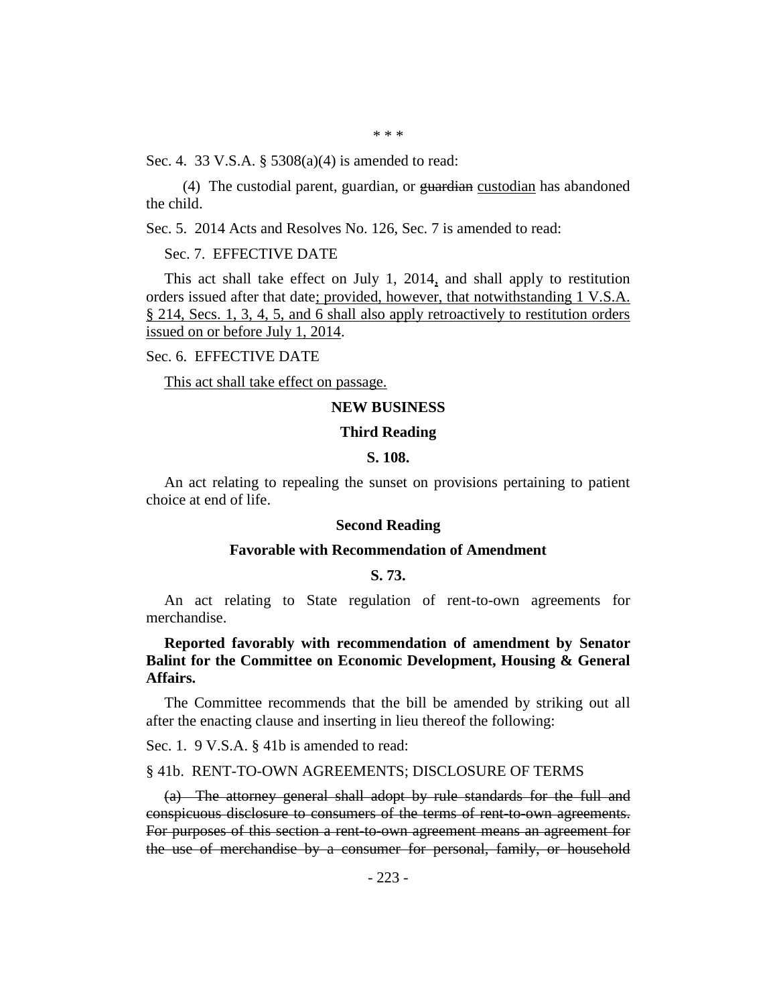Sec. 4. 33 V.S.A. § 5308(a)(4) is amended to read:

(4) The custodial parent, guardian, or guardian custodian has abandoned the child.

Sec. 5. 2014 Acts and Resolves No. 126, Sec. 7 is amended to read:

Sec. 7. EFFECTIVE DATE

This act shall take effect on July 1, 2014, and shall apply to restitution orders issued after that date; provided, however, that notwithstanding 1 V.S.A. § 214, Secs. 1, 3, 4, 5, and 6 shall also apply retroactively to restitution orders issued on or before July 1, 2014.

Sec. 6. EFFECTIVE DATE

This act shall take effect on passage.

## **NEW BUSINESS**

#### **Third Reading**

#### **S. 108.**

An act relating to repealing the sunset on provisions pertaining to patient choice at end of life.

#### **Second Reading**

## **Favorable with Recommendation of Amendment**

# **S. 73.**

An act relating to State regulation of rent-to-own agreements for merchandise.

**Reported favorably with recommendation of amendment by Senator Balint for the Committee on Economic Development, Housing & General Affairs.**

The Committee recommends that the bill be amended by striking out all after the enacting clause and inserting in lieu thereof the following:

Sec. 1. 9 V.S.A. § 41b is amended to read:

## § 41b. RENT-TO-OWN AGREEMENTS; DISCLOSURE OF TERMS

(a) The attorney general shall adopt by rule standards for the full and conspicuous disclosure to consumers of the terms of rent-to-own agreements. For purposes of this section a rent-to-own agreement means an agreement for the use of merchandise by a consumer for personal, family, or household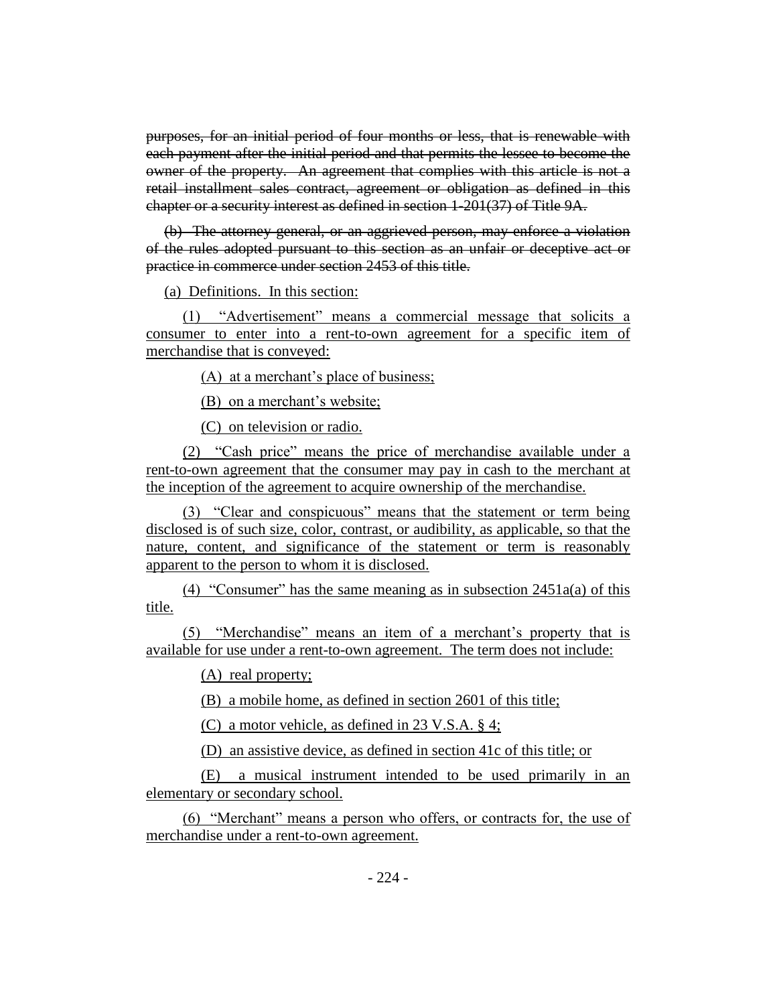purposes, for an initial period of four months or less, that is renewable with each payment after the initial period and that permits the lessee to become the owner of the property. An agreement that complies with this article is not a retail installment sales contract, agreement or obligation as defined in this chapter or a security interest as defined in section 1-201(37) of Title 9A.

(b) The attorney general, or an aggrieved person, may enforce a violation of the rules adopted pursuant to this section as an unfair or deceptive act or practice in commerce under section 2453 of this title.

(a) Definitions. In this section:

(1) "Advertisement" means a commercial message that solicits a consumer to enter into a rent-to-own agreement for a specific item of merchandise that is conveyed:

(A) at a merchant's place of business;

(B) on a merchant's website;

(C) on television or radio.

(2) "Cash price" means the price of merchandise available under a rent-to-own agreement that the consumer may pay in cash to the merchant at the inception of the agreement to acquire ownership of the merchandise.

(3) "Clear and conspicuous" means that the statement or term being disclosed is of such size, color, contrast, or audibility, as applicable, so that the nature, content, and significance of the statement or term is reasonably apparent to the person to whom it is disclosed.

(4) "Consumer" has the same meaning as in subsection  $2451a(a)$  of this title.

(5) "Merchandise" means an item of a merchant's property that is available for use under a rent-to-own agreement. The term does not include:

(A) real property;

(B) a mobile home, as defined in section 2601 of this title;

(C) a motor vehicle, as defined in 23 V.S.A. § 4;

(D) an assistive device, as defined in section 41c of this title; or

(E) a musical instrument intended to be used primarily in an elementary or secondary school.

(6) "Merchant" means a person who offers, or contracts for, the use of merchandise under a rent-to-own agreement.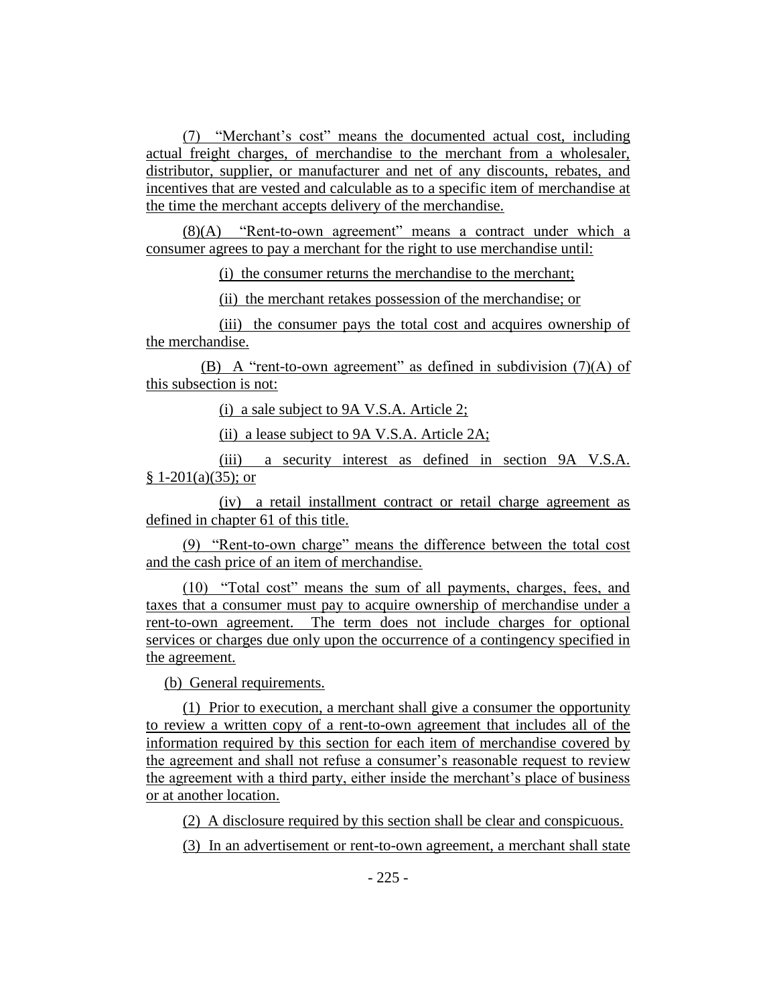(7) "Merchant's cost" means the documented actual cost, including actual freight charges, of merchandise to the merchant from a wholesaler, distributor, supplier, or manufacturer and net of any discounts, rebates, and incentives that are vested and calculable as to a specific item of merchandise at the time the merchant accepts delivery of the merchandise.

(8)(A) "Rent-to-own agreement" means a contract under which a consumer agrees to pay a merchant for the right to use merchandise until:

(i) the consumer returns the merchandise to the merchant;

(ii) the merchant retakes possession of the merchandise; or

(iii) the consumer pays the total cost and acquires ownership of the merchandise.

(B) A "rent-to-own agreement" as defined in subdivision  $(7)(A)$  of this subsection is not:

(i) a sale subject to 9A V.S.A. Article 2;

(ii) a lease subject to 9A V.S.A. Article 2A;

(iii) a security interest as defined in section 9A V.S.A.  $§ 1-201(a)(35);$  or

(iv) a retail installment contract or retail charge agreement as defined in chapter 61 of this title.

(9) "Rent-to-own charge" means the difference between the total cost and the cash price of an item of merchandise.

(10) "Total cost" means the sum of all payments, charges, fees, and taxes that a consumer must pay to acquire ownership of merchandise under a rent-to-own agreement. The term does not include charges for optional services or charges due only upon the occurrence of a contingency specified in the agreement.

(b) General requirements.

(1) Prior to execution, a merchant shall give a consumer the opportunity to review a written copy of a rent-to-own agreement that includes all of the information required by this section for each item of merchandise covered by the agreement and shall not refuse a consumer's reasonable request to review the agreement with a third party, either inside the merchant's place of business or at another location.

(2) A disclosure required by this section shall be clear and conspicuous.

(3) In an advertisement or rent-to-own agreement, a merchant shall state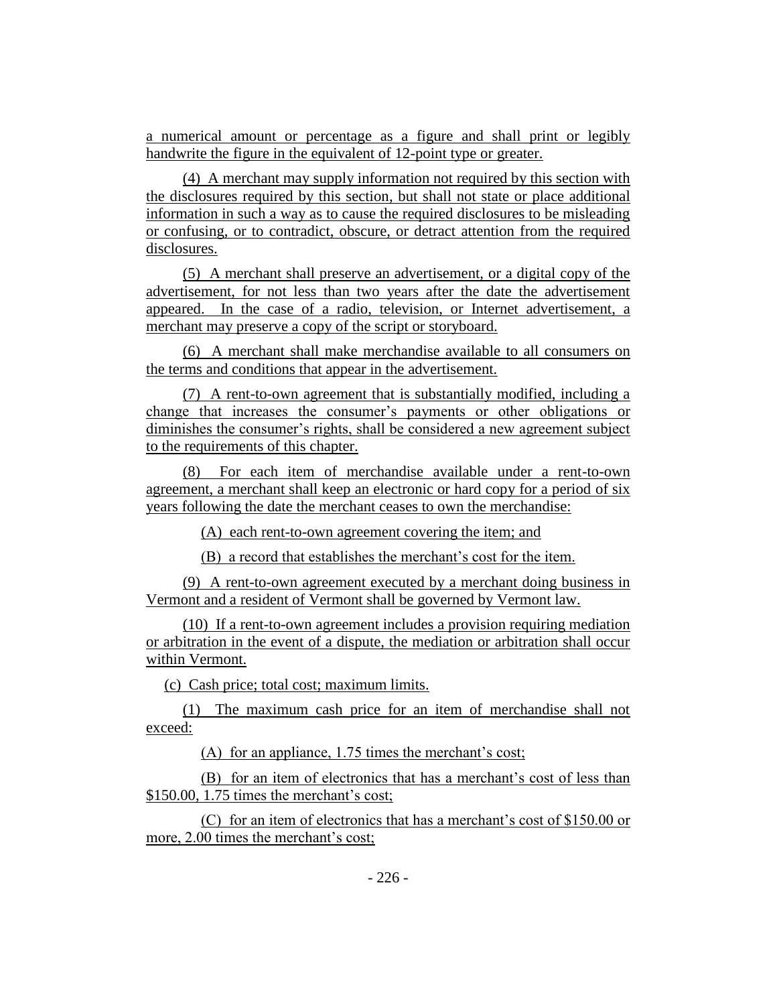a numerical amount or percentage as a figure and shall print or legibly handwrite the figure in the equivalent of 12-point type or greater.

(4) A merchant may supply information not required by this section with the disclosures required by this section, but shall not state or place additional information in such a way as to cause the required disclosures to be misleading or confusing, or to contradict, obscure, or detract attention from the required disclosures.

(5) A merchant shall preserve an advertisement, or a digital copy of the advertisement, for not less than two years after the date the advertisement appeared. In the case of a radio, television, or Internet advertisement, a merchant may preserve a copy of the script or storyboard.

(6) A merchant shall make merchandise available to all consumers on the terms and conditions that appear in the advertisement.

(7) A rent-to-own agreement that is substantially modified, including a change that increases the consumer's payments or other obligations or diminishes the consumer's rights, shall be considered a new agreement subject to the requirements of this chapter.

(8) For each item of merchandise available under a rent-to-own agreement, a merchant shall keep an electronic or hard copy for a period of six years following the date the merchant ceases to own the merchandise:

(A) each rent-to-own agreement covering the item; and

(B) a record that establishes the merchant's cost for the item.

(9) A rent-to-own agreement executed by a merchant doing business in Vermont and a resident of Vermont shall be governed by Vermont law.

(10) If a rent-to-own agreement includes a provision requiring mediation or arbitration in the event of a dispute, the mediation or arbitration shall occur within Vermont.

(c) Cash price; total cost; maximum limits.

(1) The maximum cash price for an item of merchandise shall not exceed:

(A) for an appliance, 1.75 times the merchant's cost;

(B) for an item of electronics that has a merchant's cost of less than \$150.00, 1.75 times the merchant's cost;

(C) for an item of electronics that has a merchant's cost of \$150.00 or more, 2.00 times the merchant's cost;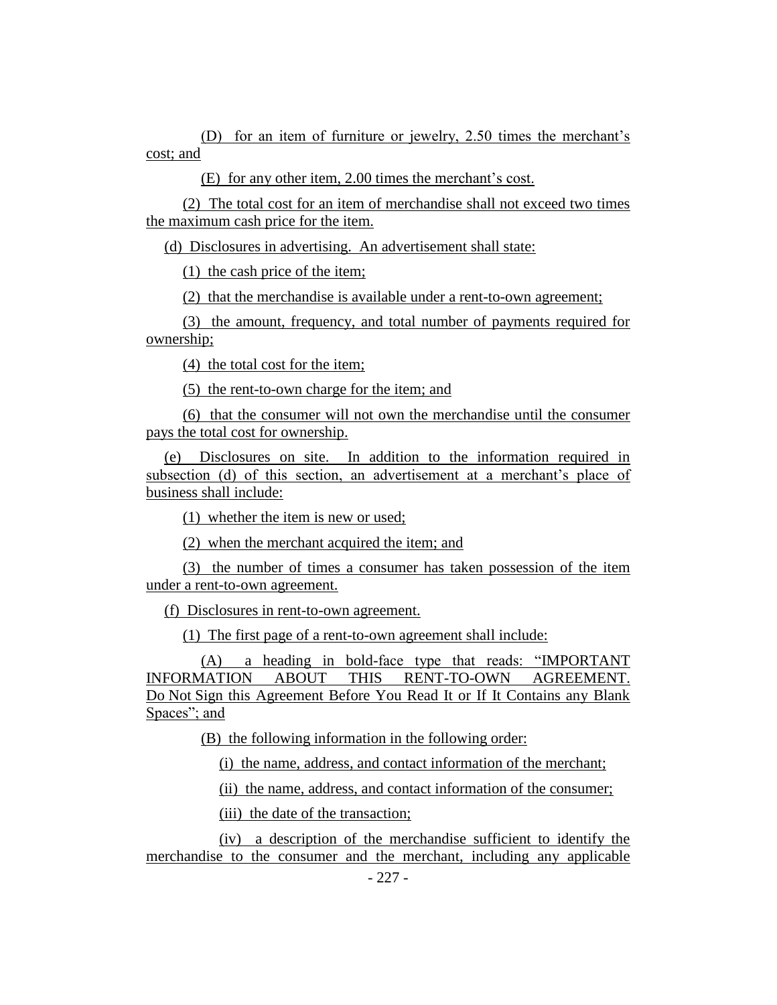(D) for an item of furniture or jewelry, 2.50 times the merchant's cost; and

(E) for any other item, 2.00 times the merchant's cost.

(2) The total cost for an item of merchandise shall not exceed two times the maximum cash price for the item.

(d) Disclosures in advertising. An advertisement shall state:

(1) the cash price of the item;

(2) that the merchandise is available under a rent-to-own agreement;

(3) the amount, frequency, and total number of payments required for ownership;

(4) the total cost for the item;

(5) the rent-to-own charge for the item; and

(6) that the consumer will not own the merchandise until the consumer pays the total cost for ownership.

(e) Disclosures on site. In addition to the information required in subsection (d) of this section, an advertisement at a merchant's place of business shall include:

(1) whether the item is new or used;

(2) when the merchant acquired the item; and

(3) the number of times a consumer has taken possession of the item under a rent-to-own agreement.

(f) Disclosures in rent-to-own agreement.

(1) The first page of a rent-to-own agreement shall include:

(A) a heading in bold-face type that reads: "IMPORTANT INFORMATION ABOUT THIS RENT-TO-OWN AGREEMENT. Do Not Sign this Agreement Before You Read It or If It Contains any Blank Spaces"; and

(B) the following information in the following order:

(i) the name, address, and contact information of the merchant;

(ii) the name, address, and contact information of the consumer;

(iii) the date of the transaction;

(iv) a description of the merchandise sufficient to identify the merchandise to the consumer and the merchant, including any applicable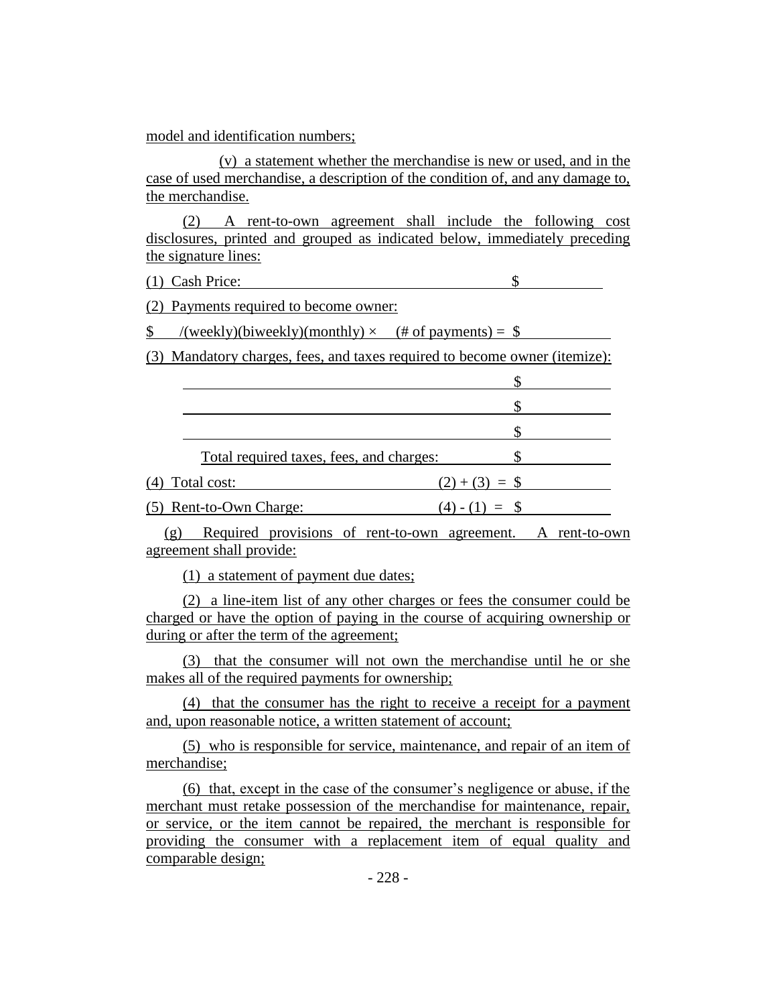model and identification numbers;

(v) a statement whether the merchandise is new or used, and in the case of used merchandise, a description of the condition of, and any damage to, the merchandise.

(2) A rent-to-own agreement shall include the following cost disclosures, printed and grouped as indicated below, immediately preceding the signature lines:

(1)Cash Price: \$

(2) Payments required to become owner:

 $\text{\$}$  /(weekly)(biweekly)(monthly)  $\times$  (# of payments) =  $\text{\$}$ 

(3) Mandatory charges, fees, and taxes required to become owner (itemize):

| Total required taxes, fees, and charges: |             |
|------------------------------------------|-------------|
| (4) Total cost:                          | $(2)+(3) =$ |
| (5) Rent-to-Own Charge:                  | $(4) - (1)$ |

(g) Required provisions of rent-to-own agreement. A rent-to-own agreement shall provide:

(1) a statement of payment due dates;

(2) a line-item list of any other charges or fees the consumer could be charged or have the option of paying in the course of acquiring ownership or during or after the term of the agreement;

(3) that the consumer will not own the merchandise until he or she makes all of the required payments for ownership;

(4) that the consumer has the right to receive a receipt for a payment and, upon reasonable notice, a written statement of account;

(5) who is responsible for service, maintenance, and repair of an item of merchandise;

(6) that, except in the case of the consumer's negligence or abuse, if the merchant must retake possession of the merchandise for maintenance, repair, or service, or the item cannot be repaired, the merchant is responsible for providing the consumer with a replacement item of equal quality and comparable design;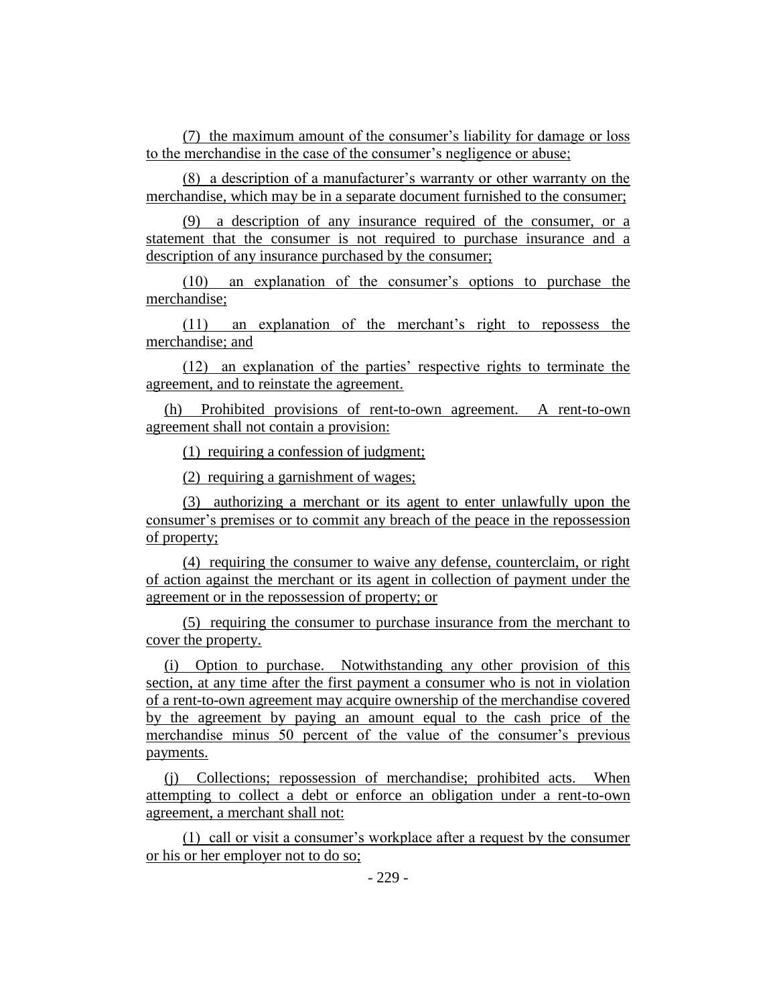(7) the maximum amount of the consumer's liability for damage or loss to the merchandise in the case of the consumer's negligence or abuse;

(8) a description of a manufacturer's warranty or other warranty on the merchandise, which may be in a separate document furnished to the consumer;

(9) a description of any insurance required of the consumer, or a statement that the consumer is not required to purchase insurance and a description of any insurance purchased by the consumer;

(10) an explanation of the consumer's options to purchase the merchandise;

(11) an explanation of the merchant's right to repossess the merchandise; and

(12) an explanation of the parties' respective rights to terminate the agreement, and to reinstate the agreement.

(h) Prohibited provisions of rent-to-own agreement. A rent-to-own agreement shall not contain a provision:

(1) requiring a confession of judgment;

(2) requiring a garnishment of wages;

(3) authorizing a merchant or its agent to enter unlawfully upon the consumer's premises or to commit any breach of the peace in the repossession of property;

(4) requiring the consumer to waive any defense, counterclaim, or right of action against the merchant or its agent in collection of payment under the agreement or in the repossession of property; or

(5) requiring the consumer to purchase insurance from the merchant to cover the property.

(i) Option to purchase. Notwithstanding any other provision of this section, at any time after the first payment a consumer who is not in violation of a rent-to-own agreement may acquire ownership of the merchandise covered by the agreement by paying an amount equal to the cash price of the merchandise minus 50 percent of the value of the consumer's previous payments.

(j) Collections; repossession of merchandise; prohibited acts. When attempting to collect a debt or enforce an obligation under a rent-to-own agreement, a merchant shall not:

(1) call or visit a consumer's workplace after a request by the consumer or his or her employer not to do so;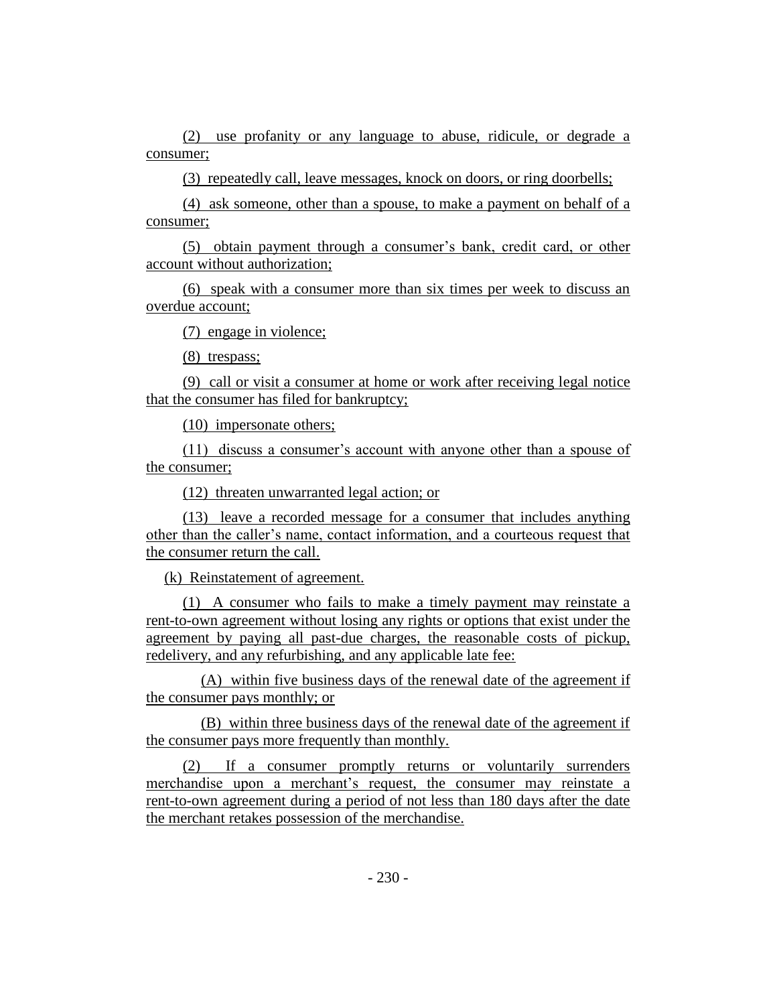(2) use profanity or any language to abuse, ridicule, or degrade a consumer;

(3) repeatedly call, leave messages, knock on doors, or ring doorbells;

(4) ask someone, other than a spouse, to make a payment on behalf of a consumer;

(5) obtain payment through a consumer's bank, credit card, or other account without authorization;

(6) speak with a consumer more than six times per week to discuss an overdue account;

(7) engage in violence;

(8) trespass;

(9) call or visit a consumer at home or work after receiving legal notice that the consumer has filed for bankruptcy;

(10) impersonate others;

(11) discuss a consumer's account with anyone other than a spouse of the consumer;

(12) threaten unwarranted legal action; or

(13) leave a recorded message for a consumer that includes anything other than the caller's name, contact information, and a courteous request that the consumer return the call.

(k) Reinstatement of agreement.

(1) A consumer who fails to make a timely payment may reinstate a rent-to-own agreement without losing any rights or options that exist under the agreement by paying all past-due charges, the reasonable costs of pickup, redelivery, and any refurbishing, and any applicable late fee:

(A) within five business days of the renewal date of the agreement if the consumer pays monthly; or

(B) within three business days of the renewal date of the agreement if the consumer pays more frequently than monthly.

(2) If a consumer promptly returns or voluntarily surrenders merchandise upon a merchant's request, the consumer may reinstate a rent-to-own agreement during a period of not less than 180 days after the date the merchant retakes possession of the merchandise.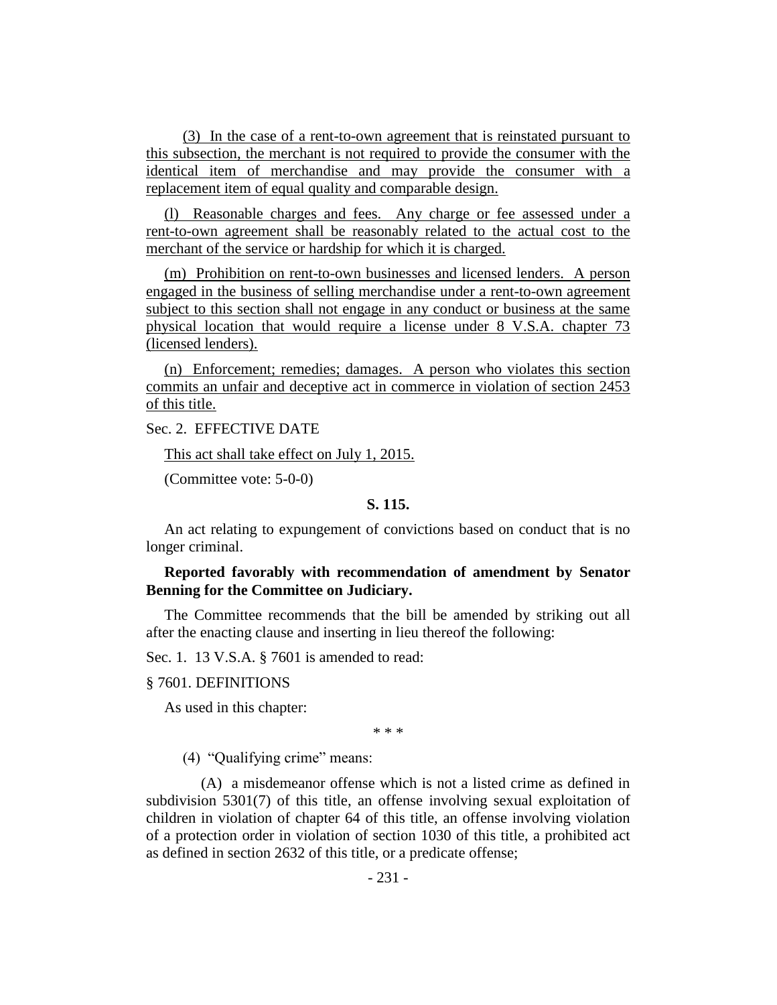(3) In the case of a rent-to-own agreement that is reinstated pursuant to this subsection, the merchant is not required to provide the consumer with the identical item of merchandise and may provide the consumer with a replacement item of equal quality and comparable design.

(l) Reasonable charges and fees. Any charge or fee assessed under a rent-to-own agreement shall be reasonably related to the actual cost to the merchant of the service or hardship for which it is charged.

(m) Prohibition on rent-to-own businesses and licensed lenders. A person engaged in the business of selling merchandise under a rent-to-own agreement subject to this section shall not engage in any conduct or business at the same physical location that would require a license under 8 V.S.A. chapter 73 (licensed lenders).

(n) Enforcement; remedies; damages. A person who violates this section commits an unfair and deceptive act in commerce in violation of section 2453 of this title.

Sec. 2. EFFECTIVE DATE

This act shall take effect on July 1, 2015.

(Committee vote: 5-0-0)

# **S. 115.**

An act relating to expungement of convictions based on conduct that is no longer criminal.

**Reported favorably with recommendation of amendment by Senator Benning for the Committee on Judiciary.**

The Committee recommends that the bill be amended by striking out all after the enacting clause and inserting in lieu thereof the following:

Sec. 1. 13 V.S.A. § 7601 is amended to read:

§ 7601. DEFINITIONS

As used in this chapter:

\* \* \*

(4) "Qualifying crime" means:

(A) a misdemeanor offense which is not a listed crime as defined in subdivision 5301(7) of this title, an offense involving sexual exploitation of children in violation of chapter 64 of this title, an offense involving violation of a protection order in violation of section 1030 of this title, a prohibited act as defined in section 2632 of this title, or a predicate offense;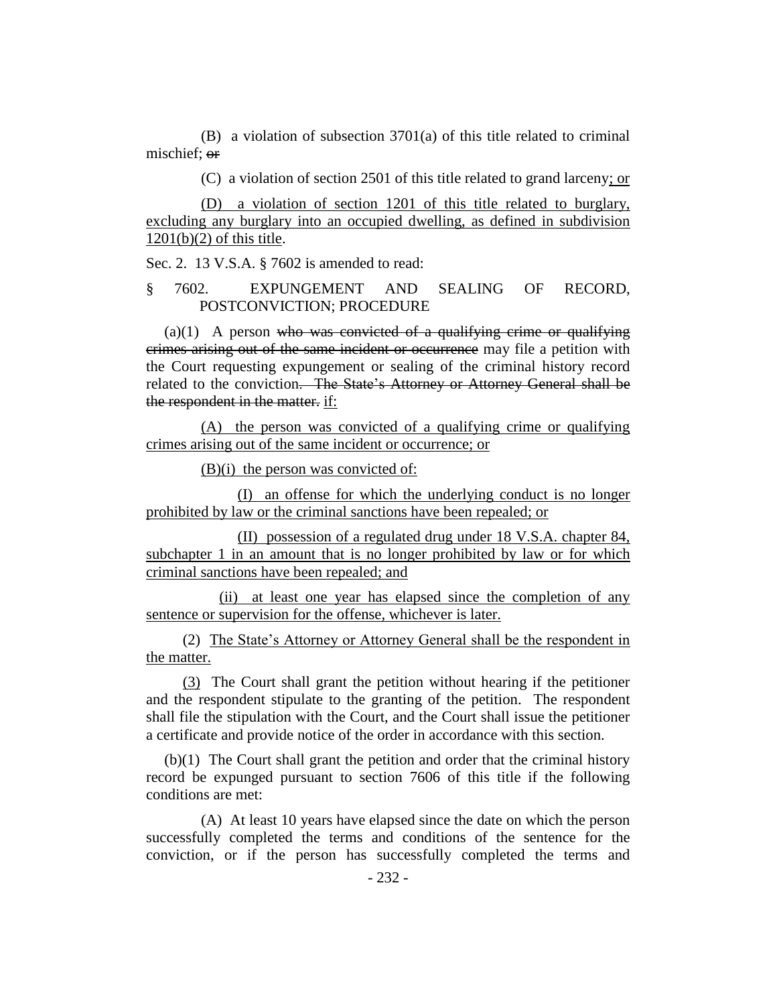(B) a violation of subsection 3701(a) of this title related to criminal mischief; or

(C) a violation of section 2501 of this title related to grand larceny; or

(D) a violation of section 1201 of this title related to burglary, excluding any burglary into an occupied dwelling, as defined in subdivision  $1201(b)(2)$  of this title.

Sec. 2. 13 V.S.A. § 7602 is amended to read:

# § 7602. EXPUNGEMENT AND SEALING OF RECORD, POSTCONVICTION; PROCEDURE

 $(a)(1)$  A person who was convicted of a qualifying crime or qualifying crimes arising out of the same incident or occurrence may file a petition with the Court requesting expungement or sealing of the criminal history record related to the conviction. The State's Attorney or Attorney General shall be the respondent in the matter. if:

(A) the person was convicted of a qualifying crime or qualifying crimes arising out of the same incident or occurrence; or

(B)(i) the person was convicted of:

(I) an offense for which the underlying conduct is no longer prohibited by law or the criminal sanctions have been repealed; or

(II) possession of a regulated drug under 18 V.S.A. chapter 84, subchapter 1 in an amount that is no longer prohibited by law or for which criminal sanctions have been repealed; and

(ii) at least one year has elapsed since the completion of any sentence or supervision for the offense, whichever is later.

(2) The State's Attorney or Attorney General shall be the respondent in the matter.

(3) The Court shall grant the petition without hearing if the petitioner and the respondent stipulate to the granting of the petition. The respondent shall file the stipulation with the Court, and the Court shall issue the petitioner a certificate and provide notice of the order in accordance with this section.

(b)(1) The Court shall grant the petition and order that the criminal history record be expunged pursuant to section 7606 of this title if the following conditions are met:

(A) At least 10 years have elapsed since the date on which the person successfully completed the terms and conditions of the sentence for the conviction, or if the person has successfully completed the terms and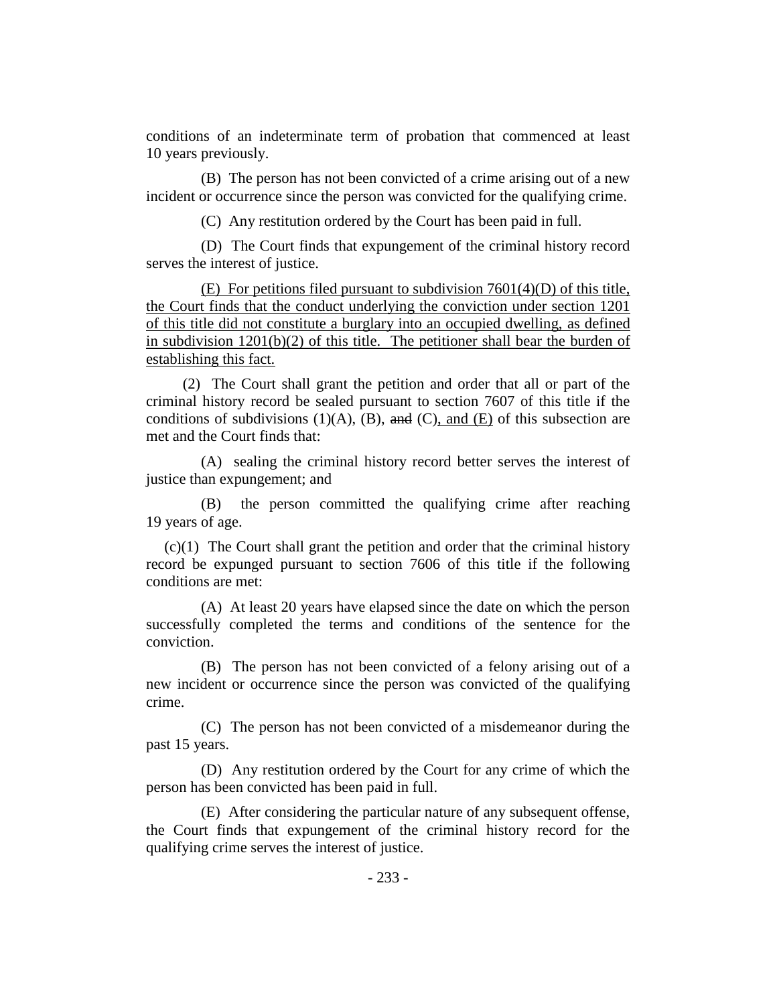conditions of an indeterminate term of probation that commenced at least 10 years previously.

(B) The person has not been convicted of a crime arising out of a new incident or occurrence since the person was convicted for the qualifying crime.

(C) Any restitution ordered by the Court has been paid in full.

(D) The Court finds that expungement of the criminal history record serves the interest of justice.

(E) For petitions filed pursuant to subdivision 7601(4)(D) of this title, the Court finds that the conduct underlying the conviction under section 1201 of this title did not constitute a burglary into an occupied dwelling, as defined in subdivision  $1201(b)(2)$  of this title. The petitioner shall bear the burden of establishing this fact.

(2) The Court shall grant the petition and order that all or part of the criminal history record be sealed pursuant to section 7607 of this title if the conditions of subdivisions (1)(A), (B), and (C), and (E) of this subsection are met and the Court finds that:

(A) sealing the criminal history record better serves the interest of justice than expungement; and

(B) the person committed the qualifying crime after reaching 19 years of age.

(c)(1) The Court shall grant the petition and order that the criminal history record be expunged pursuant to section 7606 of this title if the following conditions are met:

(A) At least 20 years have elapsed since the date on which the person successfully completed the terms and conditions of the sentence for the conviction.

(B) The person has not been convicted of a felony arising out of a new incident or occurrence since the person was convicted of the qualifying crime.

(C) The person has not been convicted of a misdemeanor during the past 15 years.

(D) Any restitution ordered by the Court for any crime of which the person has been convicted has been paid in full.

(E) After considering the particular nature of any subsequent offense, the Court finds that expungement of the criminal history record for the qualifying crime serves the interest of justice.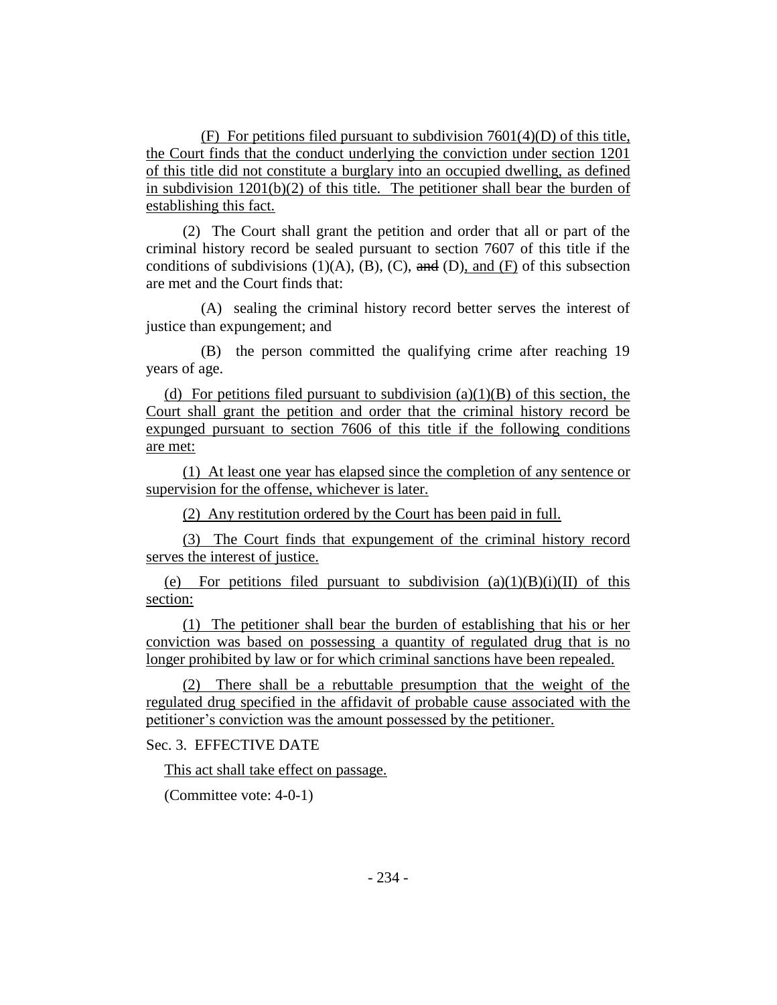(F) For petitions filed pursuant to subdivision 7601(4)(D) of this title, the Court finds that the conduct underlying the conviction under section 1201 of this title did not constitute a burglary into an occupied dwelling, as defined in subdivision  $1201(b)(2)$  of this title. The petitioner shall bear the burden of establishing this fact.

(2) The Court shall grant the petition and order that all or part of the criminal history record be sealed pursuant to section 7607 of this title if the conditions of subdivisions  $(1)(A)$ ,  $(B)$ ,  $(C)$ , and  $(D)$ , and  $(F)$  of this subsection are met and the Court finds that:

(A) sealing the criminal history record better serves the interest of justice than expungement; and

(B) the person committed the qualifying crime after reaching 19 years of age.

(d) For petitions filed pursuant to subdivision  $(a)(1)(B)$  of this section, the Court shall grant the petition and order that the criminal history record be expunged pursuant to section 7606 of this title if the following conditions are met:

(1) At least one year has elapsed since the completion of any sentence or supervision for the offense, whichever is later.

(2) Any restitution ordered by the Court has been paid in full.

(3) The Court finds that expungement of the criminal history record serves the interest of justice.

(e) For petitions filed pursuant to subdivision  $(a)(1)(B)(i)(II)$  of this section:

(1) The petitioner shall bear the burden of establishing that his or her conviction was based on possessing a quantity of regulated drug that is no longer prohibited by law or for which criminal sanctions have been repealed.

(2) There shall be a rebuttable presumption that the weight of the regulated drug specified in the affidavit of probable cause associated with the petitioner's conviction was the amount possessed by the petitioner.

Sec. 3. EFFECTIVE DATE

This act shall take effect on passage.

(Committee vote: 4-0-1)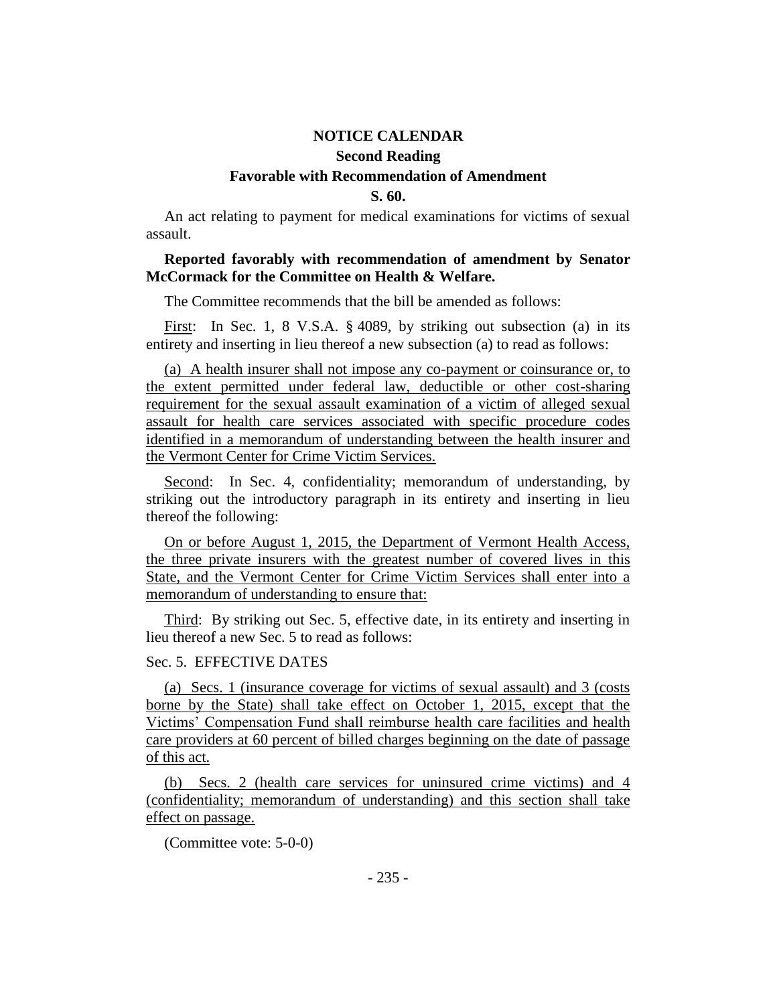# **NOTICE CALENDAR Second Reading Favorable with Recommendation of Amendment S. 60.**

An act relating to payment for medical examinations for victims of sexual assault.

# **Reported favorably with recommendation of amendment by Senator McCormack for the Committee on Health & Welfare.**

The Committee recommends that the bill be amended as follows:

First: In Sec. 1, 8 V.S.A. § 4089, by striking out subsection (a) in its entirety and inserting in lieu thereof a new subsection (a) to read as follows:

(a) A health insurer shall not impose any co-payment or coinsurance or, to the extent permitted under federal law, deductible or other cost-sharing requirement for the sexual assault examination of a victim of alleged sexual assault for health care services associated with specific procedure codes identified in a memorandum of understanding between the health insurer and the Vermont Center for Crime Victim Services.

Second: In Sec. 4, confidentiality; memorandum of understanding, by striking out the introductory paragraph in its entirety and inserting in lieu thereof the following:

On or before August 1, 2015, the Department of Vermont Health Access, the three private insurers with the greatest number of covered lives in this State, and the Vermont Center for Crime Victim Services shall enter into a memorandum of understanding to ensure that:

Third: By striking out Sec. 5, effective date, in its entirety and inserting in lieu thereof a new Sec. 5 to read as follows:

# Sec. 5. EFFECTIVE DATES

(a) Secs. 1 (insurance coverage for victims of sexual assault) and 3 (costs borne by the State) shall take effect on October 1, 2015, except that the Victims' Compensation Fund shall reimburse health care facilities and health care providers at 60 percent of billed charges beginning on the date of passage of this act.

(b) Secs. 2 (health care services for uninsured crime victims) and 4 (confidentiality; memorandum of understanding) and this section shall take effect on passage.

(Committee vote: 5-0-0)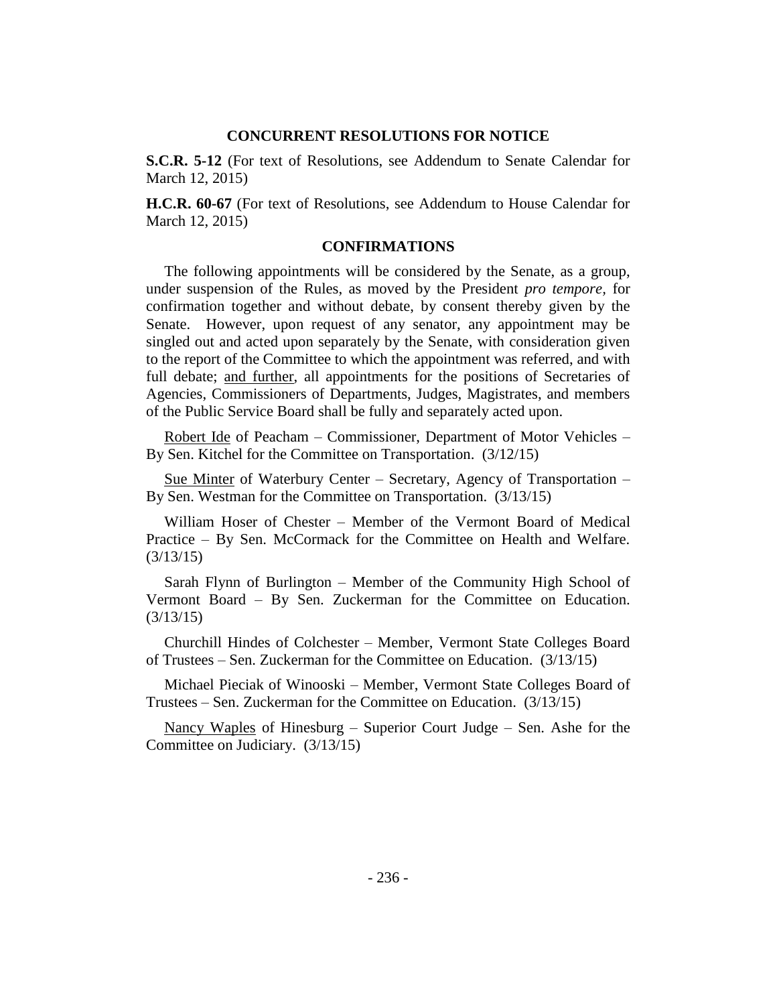# **CONCURRENT RESOLUTIONS FOR NOTICE**

**S.C.R. 5-12** (For text of Resolutions, see Addendum to Senate Calendar for March 12, 2015)

**H.C.R. 60-67** (For text of Resolutions, see Addendum to House Calendar for March 12, 2015)

## **CONFIRMATIONS**

The following appointments will be considered by the Senate, as a group, under suspension of the Rules, as moved by the President *pro tempore,* for confirmation together and without debate, by consent thereby given by the Senate. However, upon request of any senator, any appointment may be singled out and acted upon separately by the Senate, with consideration given to the report of the Committee to which the appointment was referred, and with full debate; and further, all appointments for the positions of Secretaries of Agencies, Commissioners of Departments, Judges, Magistrates, and members of the Public Service Board shall be fully and separately acted upon.

Robert Ide of Peacham – Commissioner, Department of Motor Vehicles – By Sen. Kitchel for the Committee on Transportation. (3/12/15)

Sue Minter of Waterbury Center – Secretary, Agency of Transportation – By Sen. Westman for the Committee on Transportation. (3/13/15)

William Hoser of Chester – Member of the Vermont Board of Medical Practice – By Sen. McCormack for the Committee on Health and Welfare. (3/13/15)

Sarah Flynn of Burlington – Member of the Community High School of Vermont Board – By Sen. Zuckerman for the Committee on Education. (3/13/15)

Churchill Hindes of Colchester – Member, Vermont State Colleges Board of Trustees – Sen. Zuckerman for the Committee on Education. (3/13/15)

Michael Pieciak of Winooski – Member, Vermont State Colleges Board of Trustees – Sen. Zuckerman for the Committee on Education. (3/13/15)

Nancy Waples of Hinesburg – Superior Court Judge – Sen. Ashe for the Committee on Judiciary. (3/13/15)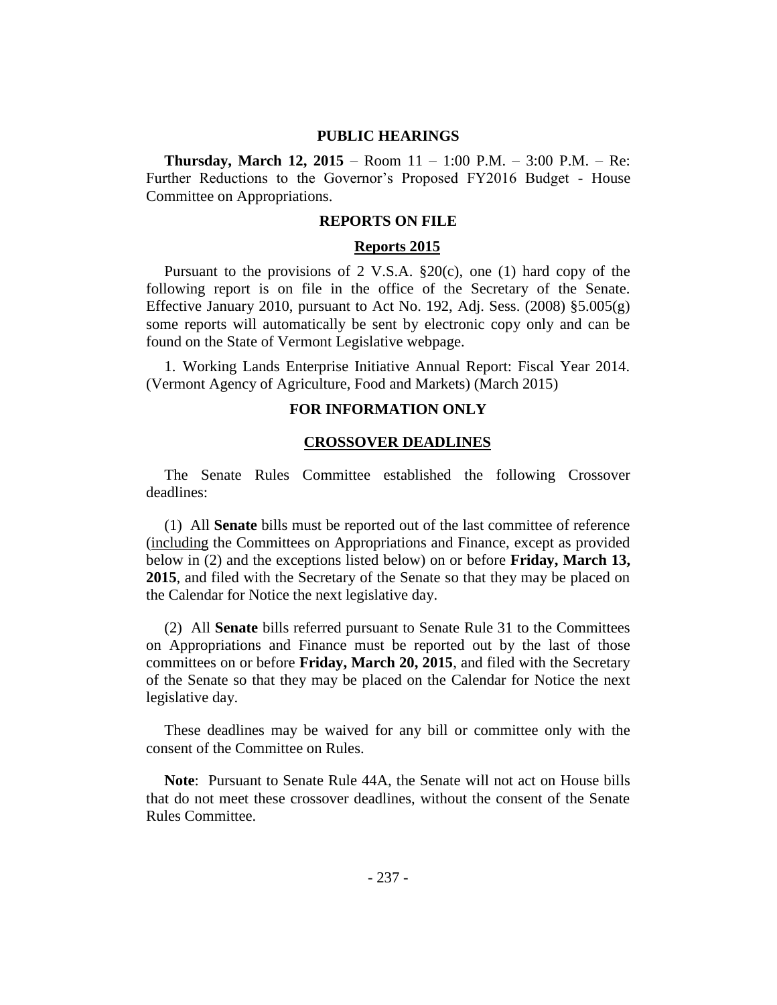# **PUBLIC HEARINGS**

**Thursday, March 12, 2015** – Room 11 – 1:00 P.M. – 3:00 P.M. – Re: Further Reductions to the Governor's Proposed FY2016 Budget - House Committee on Appropriations.

#### **REPORTS ON FILE**

# **Reports 2015**

Pursuant to the provisions of 2 V.S.A. §20(c), one (1) hard copy of the following report is on file in the office of the Secretary of the Senate. Effective January 2010, pursuant to Act No. 192, Adj. Sess.  $(2008)$  §5.005 $(g)$ some reports will automatically be sent by electronic copy only and can be found on the State of Vermont Legislative webpage.

1. Working Lands Enterprise Initiative Annual Report: Fiscal Year 2014. (Vermont Agency of Agriculture, Food and Markets) (March 2015)

#### **FOR INFORMATION ONLY**

#### **CROSSOVER DEADLINES**

The Senate Rules Committee established the following Crossover deadlines:

(1) All **Senate** bills must be reported out of the last committee of reference (including the Committees on Appropriations and Finance, except as provided below in (2) and the exceptions listed below) on or before **Friday, March 13, 2015**, and filed with the Secretary of the Senate so that they may be placed on the Calendar for Notice the next legislative day.

(2) All **Senate** bills referred pursuant to Senate Rule 31 to the Committees on Appropriations and Finance must be reported out by the last of those committees on or before **Friday, March 20, 2015**, and filed with the Secretary of the Senate so that they may be placed on the Calendar for Notice the next legislative day.

These deadlines may be waived for any bill or committee only with the consent of the Committee on Rules.

**Note**:Pursuant to Senate Rule 44A, the Senate will not act on House bills that do not meet these crossover deadlines, without the consent of the Senate Rules Committee.